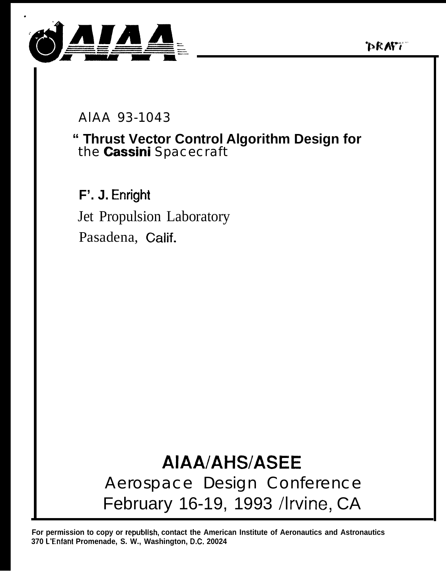



AIAA 93-1043

## " Thrust Vector Control Algorithm Design for the Cassini Spacecraft

F'. J. Enright Jet Propulsion Laboratory Pasadena, Calif.

# **AIAA/AHS/ASEE** Aerospace Design Conference February 16-19, 1993 /Irvine, CA

For permission to copy or republish, contact the American Institute of Aeronautics and Astronautics 370 L'Enfant Promenade, S. W., Washington, D.C. 20024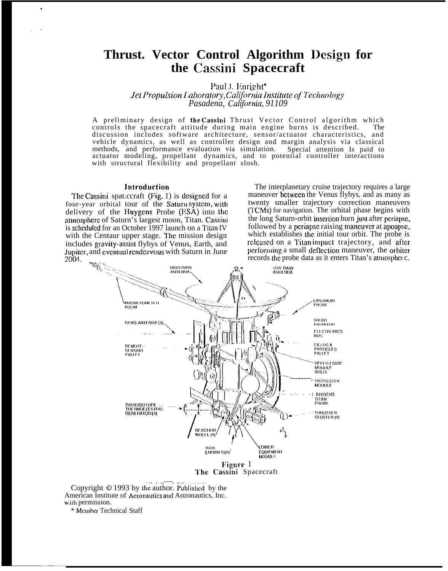### **Thrust. Vector Control Algorithm Design for the Cassini Spacecraft**

Paul J. Enright\*

 $J$ et Propulsion *laboratory*, *California Institute of Technology* Pasadena, California, 91109

A preliminary design of the Cassini Thrust Vector Control algorithm which controls the spacecraft attitude during main engine burns is described. The discussion includes software architecture, sensor/actuator characteristics, and vehicle dynamics, as well as controller design and margin analysis via classical methods, and performance evaluation via simulation. Special attention Is paid to actuator modeling, propellant dynamics, and to potential controller interactions with structural flexibility and propellant slosh.

#### lntroduction

.

. "

The Cassini spat.ccraft (Fig, 1) is designed for a four-year orbital tour of the Saturn system, with delivery of the Huygcns Probe (ESA) into lhc atmospbcrc of Saturn's largest moon, Titan. Cassioi is scheduled for an October 1997 launch on a Titan IV with the Centaur upper stage. The mission design includes gravity-assist flybys of Venus, Earth, and Jupiter, and eventual rendezvous with Saturn in June 2004. ,.

The interplanetary cruise trajectory requires a large maneuver bctwccn the Venus flybys, and as many as twenty smaller trajectory correction maneuvers (1'CMS) for navigation. The orbital phase begins with the long Saturn-orbit inscrlion burn jusl after pcriapsc, followed by a periapse raising maneuver at apoapse, which establishes the initial tour orbit. The probe is rcleased on a Titan impact trajectory, and after performing a small deflection maneuver, the orbiter records the probe data as it enters Titan's atmosphere.



Copyright © 1993 by the author. Published by the American Institute of Acronautics and Astronautics, Inc. with permission.

\* Mclnbcr Technical Staff

—<br>————————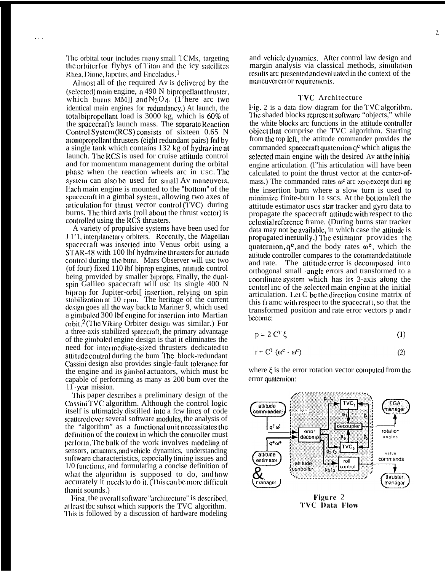The orbital tour includes many small TCMs, targeting the orbiter for flybys of Titan and the icy satellites Rhea, Dione, lapctus, and Enceladus.<sup>1</sup>

Almost all of lhc required Av is dclivcrcd by the (selected) main engine, a  $490$  N bipropellant thruster, which burns MM]] and  $N_2O_4$ . (1'here arc two identical main engines for rcdundmcy.) At launch, the total bipropellant load is  $3000 \text{ kg}$ , which is  $60\%$  of the spacecraft's launch mass. The separate Reaction Control System (RCS) consists of sixteen  $0.65$  N monopropellant thrusters (eight redundant pairs) fed by a single tank which contains  $132$  kg of hydraz inc at launch. The RCS is used for cruise attitude control and for momentum management during the orbital phase when the reaction wheels arc in USC. The system can also be used for small Av maneuvers. Each main engine is mounted to the "bottom" of the spacecraft in a gimbal system, allowing two axes of articulation for thrust vector control  $(TVC)$  during burns. The third axis (roll about the thrust vector) is controlled using the RCS thrusters.

A variety of propulsive systems have been used for J 1'1, interplanctary orbiters. Recently, the Magellan spacecraft was inserted into Venus orbit using a STAR-48 with 100 lbf hydrazine thrusters for attitude control during the burn. Mars Observer will usc two (of four) fixed 110 lbf biprop engines, attitude control being provided by smaller biprops. Finally, the dualspin Galileo spacecraft will usc its single 400 N biprop for Jupiter-orbi<sup>[</sup> inscrtion, relying on spin stabilization at 10 rpm. The heritage of the current design goes all the way back to Mariner 9, which used a gimbaled 300 lbf engine for insertion into Martian orbit.<sup>2</sup> (The Viking Orbiter design was similar.) For a three-axis stabilized spacczrdft, the primary advantage of the gimbalcd engine design is that it eliminates the need for intermediate-sized thrusters dedicated to attitude control during the bum The block-redundant Cassini design also provides single-fault tolerance for the engine and its gimbal actuators, which must bc capable of performing as many as 200 bum over the 11 -year mission.

'1'his paper dcscribcs a preliminary design of the Cassini TVC algorithm. Although the control logic itself is ultimately distilled into a few lines of code scattered over several software modules, the analysis of the "algorithm" as a functiomd unit ncccssitatcs lhc definition of the context in which the controller must perform. The bulk of the work involves modeling of sensors, actuators, and vehicle dynamics, understanding software characteristics, especially timing issues and 1/0 functions, and formulating a concise definition of what the algorithm is supposed to do, and how accurately it needs to do it. (This can be more difficult Ihan it sounds.)

First, the overall software "architecture" is described, at least the subset which supports the TVC algorithm. '1'his is followed by a discussion of hardware modeling

and vehicle dynamics. After control law design and margin analysis via classical methods, simulation results arc presented and evaluated in the context of the mancuver en or requirements.

#### '1'VC Architecture

Fig. 2 is a data flow diagram for the TVC algorithm. The shaded blocks represent software "objects," while the white blocks arc functions in the attitude controller object that comprise the TVC algorithm. Starting from the top left, the attitude commander provides the commanded spacecraft quaternion  $q<sup>c</sup>$  which aligns the selected main engine with the desired Av at the initial engine articulation. (l"his articulation will have been calculated to point the thrust vector at the ccntcr-ofmass.) The commanded rates  $\omega^c$  arc z,cro except duri ng the insertion burn where a slow turn is used to minimize finite-burn 10 sscs. At the bottom left the attitude estimator uscs star tracker and gyro data to propagate the spacecraft attitude with respect to the ccicstial rcfcrcncc frame. (During burns star tracker data may not be available, in which case the attitude is propagated incrtially.) The estimator provides the quaternion,  $q^c$ , and the body rates  $\omega^c$ , which the attitude controller compares to the commanded attitude and rate. The attitude error is decomposed into orthogonal small -angic errors and transformed to a coordinate system which has its 3-axis along the centerl inc of the selected main engine at the initial articulation. Let  $C$  be the direction cosine matrix of this frame with respect to the spacecraft, so that the transformed position and rate error vectors p and r bccomc:

$$
p = 2 CT \xi
$$
 (1)

$$
\mathbf{r} = \mathbf{C}^{\mathrm{T}} \left( \boldsymbol{\omega}^{\mathrm{c}} - \boldsymbol{\omega}^{\mathrm{e}} \right) \tag{2}
$$

where  $\xi$  is the error rotation vector computed from the error quatcmion:



TVC Data Flow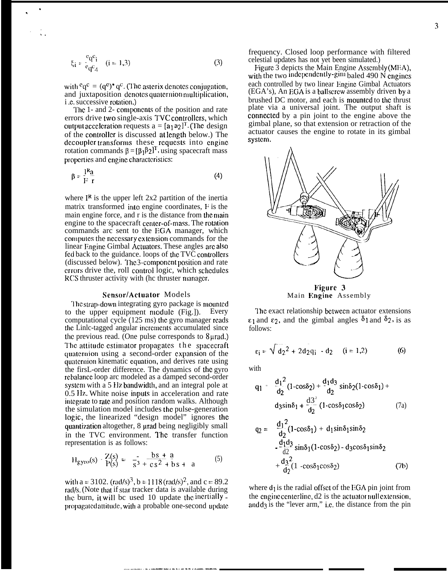$$
\xi_i = \frac{e_q e_i}{e_q e_d} \quad (i = 1,3)
$$
 (3)

with  ${}^{c}q^{c} = (q^{c})^{*} q^{c}$ . (The asterix denotes conjugation, and juxtaposition denotes quaternion multiplication, *i.e.* successive rotation.)

The 1- and 2- components of the position and rate errors drive two single-axis TVC controllers, which output acceleration requests  $a = [a_1 a_2]^T$ . (The design of the controller is discussed at length below.) The decoupler transforms these requests into engine rotation commands  $\beta = [\beta_1 \beta_2]^T$ , using spacecraft mass properties and engine characteristics:

$$
\beta = \frac{1^R a}{F r} \tag{4}
$$

where  $I^R$  is the upper left 2x2 partition of the inertia matrix transformed into engine coordinates, F is the main engine force, and r is the distance from the main engine to the spacecraft center-of-mass. The rotation commands arc sent to the EGA manager, which computes the necessary extension commands for the linear Engine Gimbal Actuators. These angles are also fed back to the guidance. loops of the TVC controllers (discussed below). The 3-component position and rate errors drive the, roll control logic, which schedules RCS thruster activity with (hc thruster manager.

#### Sensor/Actuator Models

The strap-down integrating gyro package is mounted to the upper equipment module (Fig.). Every computational cycle (125 ms) the gyro manager reads the Linle-tagged angular increments accumulated since the previous read. (One pulse corresponds to 8 urad.) The attitude estimator propagates the spacecraft quaternion using a second-order expansion of the quaternion kinematic equation, and derives rate using the firsL-order difference. The dynamics of the gyro rebalance loop arc modeled as a damped second-order system with a 5 Hz bandwidth, and an integral pole at 0.5 Hz. White noise inputs in acceleration and rate integrate to rate and position random walks. Although the simulation model includes the pulse-generation logic, the linearized "design model" ignores the quantization altogether, 8 urad being negligibly small in the TVC environment. The transfer function representation is as follows:

$$
H_{gyro}(s) - \frac{Z(s)}{P(s)} = -\frac{1}{s^3} + \frac{bs + a}{cs^2 + bs + a}
$$
 (5)

with a = 3102.  $\text{(rad/s)}^3$ , b = 1118  $\text{(rad/s)}^2$ , and c = 89.2 rad/s. (Note that if star tracker data is available during the burn, it will be used 10 update the inertially propagated attitude, with a probable one-second update frequency. Closed loop performance with filtered celestial updates has not yet been simulated.)

Figure  $\hat{3}$  depicts the Main Engine Assembly (MEA), with the two independently-gim baled 490  $\dot{N}$  engines each controlled by two linear Engine Gimbal Actuators (EGA's), An EGA is a ballscrew assembly driven by a brushed DC motor, and each is mounted to the thrust plate via a universal joint. The output shaft is connected by a pin joint to the engine above the gimbal plane, so that extension or retraction of the actuator causes the engine to rotate in its gimbal system.



Figure 3 Main Engine Assembly

The exact relationship between actuator extensions  $\epsilon_1$  and  $\epsilon_2$ , and the gimbal angles  $\delta_1$  and  $\delta_2$ , is as follows:

$$
\varepsilon_{i} = \sqrt{d_{2}^{2} + 2d_{2}q_{i} \cdot d_{2}} \quad (i = 1, 2)
$$
 (6)

with

$$
q_1 = \frac{d_1^2}{d_2} (1 - \cos \delta_2) + \frac{d_1 d_3}{d_2} \sin \delta_2 (1 - \cos \delta_1) +
$$
  

$$
d_3 \sin \delta_1 + \frac{d_3^2}{d_2} (1 - \cos \delta_1 \cos \delta_2) \tag{7a}
$$

$$
q_2 = \frac{d_1^2}{d_2}(1-\cos\delta_1) + d_1\sin\delta_1\sin\delta_2
$$
  
\n
$$
-\frac{d_1d_3}{d_2}\sin\delta_1(1-\cos\delta_2) - d_3\cos\delta_1\sin\delta_2
$$
  
\n
$$
+\frac{d_3^2}{d_2}(1-\cos\delta_1\cos\delta_2)
$$
 (7b)

where  $d_1$  is the radial offset of the EGA pin joint from the engine centerline, d2 is the actuator nullextension. and  $d_3$  is the "lever arm," i.e. the distance from the pin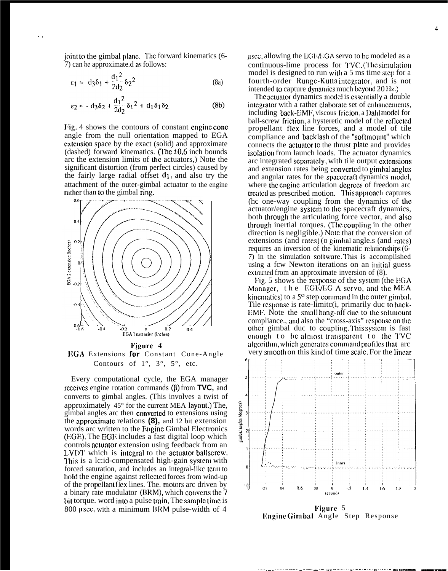joint to the gimbal plane. The forward kinematics (6-7) can bc approximate.d as follows:

$$
\varepsilon_1 \approx d_3 \delta_1 + \frac{d_1^2}{2d_2} \delta_2^2 \tag{8a}
$$

$$
\varepsilon_2 \approx -\mathrm{d}_3 \delta_2 + \frac{\mathrm{d}_1^2}{2\mathrm{d}_2} \delta_1^2 + \mathrm{d}_1 \delta_1 \delta_2 \tag{8b}
$$

Fig. 4 shows the contours of constant engine cone angle from the null orientation mapped to EGA cxlcnsion space by the exact (solid) and approximate (dashed) forward kinematics. (The  $\pm 0.6$  inch bounds arc the extension limits of lhc actuators,) Note the significant distortion (from perfect circles) caused by the fairly large radial offset  $d_1$ , and also try the attachment of the outer-gimbal actuator to the engine rather than to the gimbal ring.



EGA Extensions for Constant Cone-Angle Contours of  $1^\circ$ ,  $3^\circ$ ,  $5^\circ$ , etc.

Every computational cycle, the EGA manager receives engine rotation commands  $(\beta)$  from **TVC**, and converts to gimbal angles. (This involves a twist of approximately 45° for the current MEA layout.) The, gimbal angles arc then convcrtcd to extensions using the approximate relations  $(8)$ , and 12 bit extension words arc written to the Engine Gimbal Electronics (EGE). The EGE includes a fast digital loop which controls actuator extension using feedback from an l,VDT which is intcgrai to the actualor ballscrcw. This is a lc:id-compensated high-gain system with forced saturation, and includes an integral-like term to bold the engine against rcflcctcd forces from wind-up of the propcllaru ficx lines. The. motors arc driven by a binary rate modulator (BRM), which converts the 7 bit torque. word into a pulse train. The sample time is 800  $\mu$ scc, with a minimum BRM pulse-width of 4

 $\mu$ scc, allowing the EGE/EGA servo to bc modeled as a continuous-lime process for TVC. (The simulation model is designed to run with a 5 ms time slcp for a fourth-order Runge-Kutta integrator, and is not intended to capture dynamics much beyond 20 Hz.)

The actuator dynamics model is essentially a double integrator with a rather claborate set of enhancements, including back-EMF, viscous fricion, a Dahl model for ball-screw friction, a hysteretic model of the reflected propellant ficx line forces, and a model of tile compliance and backiash of the "softmount" which connects the actuator to the thrust plate and provides isolation from launch loads. The actuator dynamics arc integrated separately, with tile output extensions and extension rates being converted to gimbal angles and angular rates for the spacecraft dynamics model, where the engine articulation degrees of freedom arc treated as prescribed motion. This approach captures (hc one-way coupling from the dynamics of the actuator/engine system to the spacecraft dynamics, both through the articulating force vector, and also through inertial torques. (The coupling in the other direction is negligible.) Note that the conversion of extensions (and rates) (o gimbal angle.s (and rates) requires an inversion of the kinematic relationships (6-7) in the simulation software. This is accomplished using a fcw Newton iterations on an initial guess extracted from an approximate inversion of  $(8)$ .

Fig. 5 shows the response of the system (the EGA Manager, the EGE/EG A servo, and the MEA kinematics) to a 5<sup>o</sup> step command in the outer gimbal. Tile response is rate-limite $(i,$  primarily duc to back-EMF. Note the small hang-off due to the softmount compliance., and also the "cross-axis" response on the other gimbal duc to coupling. This system is fast enough to be almost transparent to the TVC algorithm, which generates command profiles that arc very smooth on this kind of time scale. For the linear



.— . ---- . . . . .. —-. — ..--. — .— .-.. .. . . . . . . .. . . . . . .. . . . . . ."..—— ——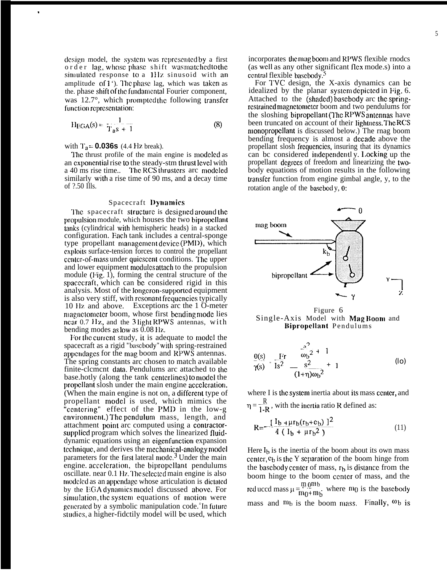design model, the system was represented by a first order lag, whose phase shift was matched to the simulated response to a 1Hz sinusoid with an amplitude of  $1$  '). The phase lag, which was taken as the. phase shift of the fundamental Fourier component, was  $12.7^{\circ}$ , which prompted the following transfer function representation:

$$
H_{EGA}(s) = \frac{1}{T_{a}s + 1}
$$
 (8)

with  $T_a = 0.036s$  (4.4 Hz break).

.

The thrust profile of the main engine is modeled as an exponential rise to the steady-stm thrust level with a 40 ms rise time.. The RCS thrusters arc modeled similarly with a rise time of 90 ms, and a decay time of ?.50 Ills.

#### Spacecraft Dynamics

The spacecraft structure is designed around the propulsion module, which houses the two bipropellant tanks (cylindrical with hemispheric heads) in a stacked configuration. Each tank includes a central-sponge type propellant management device (PMD), which cxploits surface-tension forces to control the propellant center-of-mass under quiescent conditions. The upper and lower equipment modules attach to the propulsion module (Fig. 1), forming the central structure of the spacecraft, which can be considered rigid in this analysis. Most of the longcron-supported equipment is also very stiff, with resonant frequencies typically 10 }17, and above. Exceptions arc the 1 O-meter magnetometer boom, whose first bending mode lies ncar 0.7 Hz, and the 3 light RPWS antennas, with bending modes as low as 0.08 Hz.

For the current study, it is adequate to model the spacecraft as a rigid "basebody" with spring-restrained appendages for the mag boom and RPWS antennas. The spring constants arc chosen to match available finite-clcmcnt data. Pendulums arc attached to the base.hotly (along the tank centerlines) to model the propellant slosh under the main engine acceleration. (When the main engine is not on, a different type of propellant model is used, which mimics the "centering" effect of the PMD in the low-g environment.) The pendulum mass, length, and attachment point arc computed using a contractorsupplied program which solves the linearized fluiddynamic equations using an cigcnfunction expansion technique, and derives the mechanical-analogy model parameters for the first lateral mode.<sup>3</sup> Under the main engine. acceleration, the bipropellant pendulums oscillate. near 0.1 Hz. The selected main engine is also modeled as an appendage whose articulation is dictated by the EGA dynamics model discussed above. For simulation, the system equations of motion were generated by a symbolic manipulation code.<sup>4</sup>In future studies, a higher-fidctily model will be used, which

incorporates the mag boom and RPWS flexible rnodes (as well as any other significant flex mode.s) into a ccntral flexible basebody.<sup>5</sup>

For TVC design, the X-axis dynamics can bc idealized by the planar system depicted in Fig. 6. Attached to the (shaded) basebody arc the springrcstraincd magnctomctcr boom and two pendulums for the sloshing bipropellant (The RPWS antennas have been truncated on account of their lightness. The RCS rnonopropcllant is discussed below.) The rnag boom bending frequency is almost a dccadc above the propellant slosh frequencies, insuring that its dynamics can bc considered indcpcndcnd y. 1.ocking up the propellant dcgrccs of freedom and linearizing the twobody equations of motion results in the following transfer function from engine gimbal angle, y, to the rotation angle of the bascbod y, 0:



Figure 6 Single-Axis Model with Mag Boom and Bipropcllant Pendulums

$$
\frac{\Theta(s)}{\gamma(s)} = \frac{F^{\prime}r}{Is^{2}} - \frac{s^{2}}{s^{2}} + 1
$$
\n
$$
\frac{\Theta(s)}{\gamma(s)} = \frac{F^{\prime}r}{Is^{2}} - \frac{s^{2}}{(1+\eta)\omega_{b}^{2}} + 1
$$
\n(lo)

where I is the system inertia about its mass center, and  $\eta = \frac{R}{1 - R}$ , with the incrtia ratio R defined as:

$$
R = \frac{[I_b + \mu r_b(r_b + c_b)]^2}{4 (I_b + \mu r_b^2)}
$$
 (11)

Here  $I_b$  is the inertia of the boom about its own mass center,  $c_b$  is the Y separation of the boom hinge from the basebody center of mass,  $r_b$  is distance from the boom hinge to the boom ccntcr of mass, and the red uccd mass  $\mu = \frac{m_0 m_b}{m_0 + m_b}$  where  $m_0$  is the basebody mass and  $m_b$  is the boom mass. Finally,  $\omega_b$  is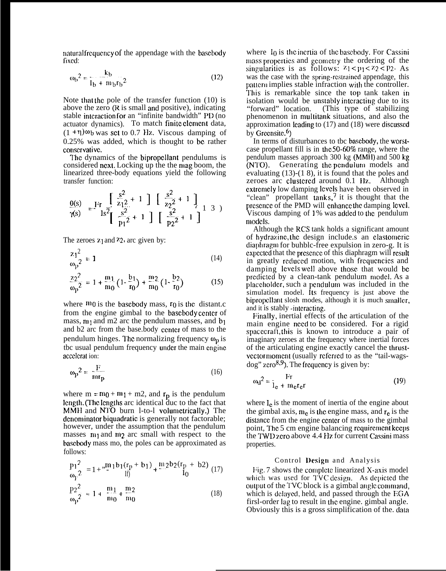natural frequency of the appendage with the basebody fixed:

$$
\omega_b^2 = \frac{k_b}{I_b + m_b r_b^2} \tag{12}
$$

Note that the pole of the transfer function  $(10)$  is above the zero  $(R$  is small and positive), indicating stable interaction for an "infinite bandwidth" PD (no actuator dynamics). To match finite element data,  $(1 + \eta)\omega_b$  was set to 0.7 Hz. Viscous damping of 0.25% was added, which is thought to bc rather conservative.

The dynamics of the bipropellant pendulums is considered ncxl. Locking up the the mag boom, the linearized three-body equations yield the following transfer function:

$$
\frac{\Theta(s)}{\gamma(s)} = \frac{\text{Fr}}{\text{ls}^2} \left[ \begin{array}{c} \frac{s^2}{z_1 2} + 1 \\ \frac{s^2}{z_2} + 1 \end{array} \right] \left[ \begin{array}{c} \frac{s^2}{z_2 2} + 1 \\ \frac{s^2}{z_2 2} + 1 \end{array} \right] \left[ \begin{array}{c} 1 \\ 3 \end{array} \right]
$$

The zeroes  $z_1$  and  $z_2$ , arc given by:

$$
\frac{z_1^2}{\omega_p^2} = 1\tag{14}
$$

$$
\frac{z_2^2}{\omega_p^2} = 1 + \frac{m_1}{m_0} \left( 1 - \frac{b_1}{r_0} \right) + \frac{m_2}{m_0} \left( 1 - \frac{b_2}{r_0} \right) \tag{15}
$$

where  $m_0$  is the basebody mass,  $r_0$  is the distant.c from the engine gimbal to the basebody center of mass,  $m_1$  and m2 arc the pendulum masses, and  $b_1$ and b2 arc from the base.body center of mass to the pendulum hinges. The normalizing frequency  $\omega_{\rm p}$  is the usual pendulum frequency under the main engine accclcrat ion:

$$
\omega_{\mathbf{p}}^2 = \frac{\mathbf{F}}{\mathbf{m}\mathbf{r}_{\mathbf{p}}} \tag{16}
$$

where  $m = m_0 + m_1 + m_2$ , and  $r_p$  is the pendulum length. (The lengths arc identical duc to the fact that MMH and NTO burn 1-to-1 volumetrically.) The denominator biquadratic is generally not factorable; however, under the assumption that the pendulum masses  $m_1$  and  $m_2$  arc small with respect to the bascbody mass mo, the poles can be approximated as follows:

$$
\frac{p_1^2}{\omega_t^2} = 1 + \frac{m_1 b_1 (r_p + b_1)}{f} + \frac{m_2 b_2 (r_p + b_2)}{f_0} \tag{17}
$$

$$
\frac{p_2^2}{\omega_p^2} \approx 1 + \frac{m_1}{m_0} + \frac{m_2}{m_0}
$$
 (18)

where  $I_0$  is the inertia of the basebody. For Cassini mass properties and geometry the ordering of the singularities is as follows:  $z_1 < p_1 < z_2 < p_2$ . As was the case with the spring-restrained appendage, this pattern implies stable infraction with the controller. This is remarkable since the top tank taken in isolation would be unstably interacting due to its<br>"forward" location. (This type of stabilizing (This type of stabilizing phenomenon in multitank situations, and also the approximation leading to  $(17)$  and  $(18)$  were discussed by Greensite. $6$ )

In terms of disturbances to tbc bascbody, the worstcase propellant fill is in the 50-60% range, where the pendulum masses approach 300 kg (MM}I) and 500 kg (NTO). Generating the pendulum models and evaluating (13)-(1 8), it is found that the poles and zeroes arc clustered around 0.1 Hz. Although extremely low damping levels have been observed in "clean" propellant  $tanks$ , it is thought that the presence of the PMD will enhance the damping level. Viscous damping of 1% was added to the pendulum models.

Although the RCS tank holds a significant amount of hydrazine, the design include.s an elastomeric diaphragm for buhblc-free expulsion in zero-g. It is cxpcctcd that the prcscncc of this diaphragm will rcsull in greatly reduced motion, with frequencies and damping levels well above those that would be predicted by a clean-tank pendulum model. As a placeholder, such a pendulum was included in the simulation model. Its frequency is just above the bipropellant slosh modes, although it is much smaller, and it is stably -interacting.

Finally, inertial effects of the articulation of the main engine need to be considered. For a rigid spacecraft, this is known to introduce a pair of imaginary zeroes at the frequency where inertial forces of the articulating engine exactly cancel the thrustvector moment (usually referred to as the "tail-wags- $\log$ " zero<sup>8,9</sup>). The frequency is given by:

$$
\omega_d^2 = \frac{Fr}{I_e + m_e r_e r}
$$
 (19)

where  $I_c$  is the moment of inertia of the engine about the gimbal axis,  $m_e$  is the engine mass, and  $r_e$  is the dislancc from the engine ccntcr of mass to the gimbal point, The 5 cm engine balancing requirement kccles the TWL) xcro above 4.4 Hz. for current Cassini mass properties.

#### Control l)esign and Analysis

Fig. 7 shows the complete linearized  $X$ -axis model which was used for TVC design. As depicted the output of the TVC block is a gimbal angle command, which is delayed, held, and passed through the EGA firsl-order lag to result in the engine. gimbal angle. Obviously this is a gross simplification of the data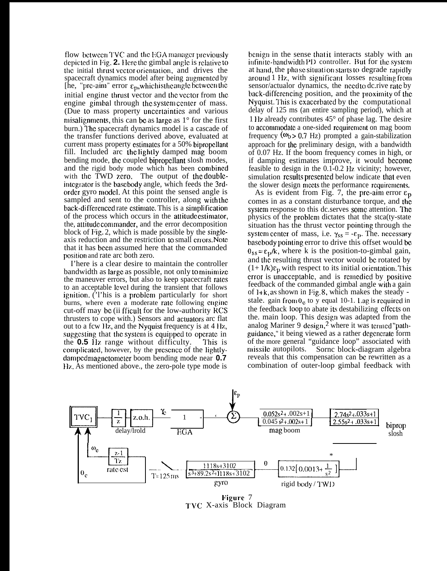flow between  $TVC$  and the EGA manager previously depicted in Fig. 2. Here the gimbal angle is relative to the initial thrust vector orientation, and drives the spacecraft dynamics model after being augmented by [he, "pre-aim" error  $\varepsilon_p$ , which is the angle between the initial engine thrust vector and the vector from the engine gimbal through the system center of mass. (Due to mass property uncertainties and various misalignments, this can be as large as  $1^\circ$  for the first burn.) The spacecraft dynamics model is a cascade of the transfer functions derived above, evaluated at current mass property estimates for a 50% bipropellant fill. Included arc the lightly damped mag boom bending mode, the coupled bipropellant slosh modes, and the rigid body mode which has been cornbincd with the TWD zero. The output of the doubleintcgrator is the bascbody angle, which feeds the 3rdorder gyro model. At this point the sensed angle is sampled and sent to the controller, along with the back-differenced rate estimate. This is a simplification of the process which occurs in the attitude estimator, the, attitude commander, and the error decomposition block of Fig. 2, which is made possible by the singleaxis reduction and the restriction to small crosrs. Note that it has been assumed here that the commanded position and rate arc both zero.

I'here is a clear desire to maintain the controller bandwidth as large as possible, not only to minimize the maneuver errors, but also to keep spacecraft rates to an acceptable level during the transient that follows ignition. ('l'his is a problem particularly for short burns, where even a moderate rate following engine cut-off may bc (ii fficult for the low-authority RCS thrusters to cope with.) Sensors and actuators arc flat out to a fcw IIz, and the Nyquist frequency is at 4 IIz, suggesting that the system is equipped to operate in the **0.5** Hz range without difficulty. This is complicated, however, by the presence of the lightlydampcd magnctomctcr boom bending mode near **0.7** Hz. As mentioned above., the zero-pole type mode is

benign in the sense that it interacts stably with an infinite-bandwidth PID controller. But for the system at hand, the phase situation starts to degrade rapidly around 1 Hz, with significant losses resulting from sensor/actualor dynamics, the need to dc.rive rate by back-differencing position, and the proximity of the Nyquist, I'his is cxaccrbatcd by lhc computational delay of 125 ms (an entire sampling period), which at 1 Hz already contributes  $45^{\circ}$  of phase lag. The desire to accommodate a one-sided requirement on mag boom frequency  $(\omega_b > 0.7 \text{ Hz})$  prompted a gain-stabilization approach for the preliminary design, with a bandwidth of 0.07 Hz. If the boom frequency comes in high, or if damping estimates improve, it would bccomc feasible to design in the 0.1-0.2 Hz vicinity; however, simulation results presented below indicate that even the slower design meets the performance requirements.

As is evident from Fig. 7, the prc-aim error  $\varepsilon_p$ comes in as a constant disturbance torque, and the system response to this dc.serves some attention. The physics of the problcm dictates that the stca(ty-state situation has the thrust vector pointing through the system center of mass, i.e.  $\gamma_{ss} = -\varepsilon_p$ . The. necessary basebody pointing error to drive this offset would be  $\theta_{ss} = \epsilon_{0}/k$ , where k is the position-to-gimbal gain, and the resulting thrust vector would be rotated by  $(1+1/k)\epsilon_p$  with respect to its initial orientation. This error is unacceptable, and is remedied by positive feedback of the commanded gimbal angle wilh a gain of  $1 + k$ , as shown in Fig. 8, which makes the steady stale. gain from  $0<sub>c</sub>$  to y equal 10-1. Lag is required in the feedback loop to abate its destabilizing effects on the. main loop. This design was adapted from the analog Mariner 9 design,<sup>2</sup> where it was termed "pathguidance," it being viewed as a rather degenerate form of the more general "guidance loop" associated with missile autopilots. Sornc block-diagram algebra reveals that this compensation can bc rewritten as a combination of outer-loop gimbal feedback with



Figure 7 '1'VC X-axis Block Diagram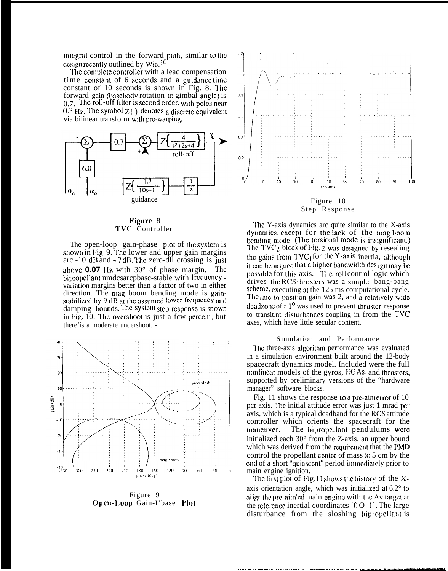integral control in the forward path, similar to the design recently outlined by Wie. $10$ 

The complete controller with a lead compensation time constant of 6 seconds and a guidance time constant of 10 seconds is shown in Fig. 8. The forward gain (basebody rotation to gimbal angle) is 0.7. The roll-off filter is second order, with poles near  $0.3$  Hz. The symbol  $Z( )$  denotes a discrete equivalent via bilinear transform with prc-warping.



#### Figure 8 TVC Controller

The open-loop gain-phase plot of the system is shown in Fig. 9. The lower and upper gain margins arc  $-10$  dB and  $+7$  dB. The zero-dII crossing is just above **0.07** Hz with  $30^{\circ}$  of phase margin. The bipropellant nmdcsarcpbasc-stable with frequency variation margins better than a factor of two in either direction. The mag boom bending mode is gainstabilized by 9 dB at the assumed lower frequency and damping bounds. The system step response is shown in Fig. 10. The overshoot is just a few percent, but there' is a moderate undershoot. -



Figure 9 Open-Loop Gain-I'base Plot



Step Response

The Y-axis dynamics are quite similar to the X-axis dynamics, except for the lack of the mag boom bending mode. (The torsional mode is insignificant.) The  $TVC_2$  block of Fig. 2 was designed by resealing the gains from  $TVC_1$  for the Y-axis inertia, although it can be argued that a higher bandwidth des ign may be possible for this axis. The roll control logic which drives the RCS thrusters was a simple bang-bang scheme, executing at the 125 ms computational cycle. The rate-to-position gain was 2, and a relatively wide deadzone of  $\pm 1^{\circ}$  was used to prevent thruster response to transit.nt disturbances coupling in from the TVC axes, which have little secular content.

#### Simulation and Performance

The three-axis algorithm performance was evaluated in a simulation environment built around the 12-body spacecraft dynamics model. Included were the full nonlinear models of the gyros, EGAs, and thrusters, supported by preliminary versions of the "hardware" manager" software blocks.

Fig. 11 shows the response to a pre-aim error of 10 pcr axis. The initial attitude error was just 1 mrad per axis, which is a typical dcadband for the RCS attitude controller which orients the spacecraft for the The bipropellant pendulums were maneuver. initialized each 30° from the Z-axis, an upper bound which was derived from the requirement that the PMD control the propellant center of mass to 5 cm by the end of a short "quiescent" period immediately prior to main engine ignition.

The first plot of Fig. 11 shows the history of the Xaxis orientation angle, which was initialized at  $6.2^{\circ}$  to align the pre-aim'ed main engine with the Av target at the reference inertial coordinates  $[0 0 - 1]$ . The large disturbance from the sloshing bipropellant is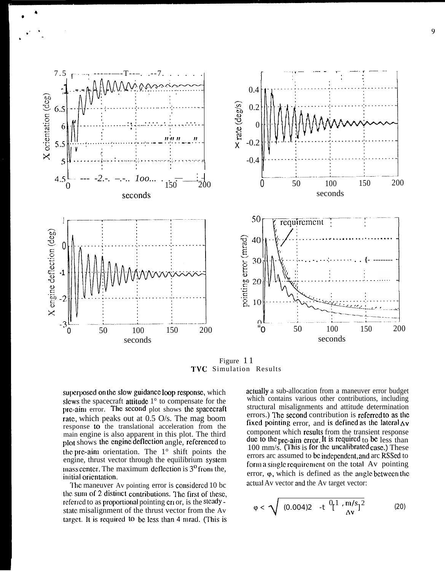

Figure 11 TVC Simulation Results

superposed on the slow guidance loop response, which slews the spacecraft attitude  $1^\circ$  to compensate for the pre-aim error. The second plot shows the spacecraft rate, which peaks out at 0.5 O/s. The mag boom response to the translational acceleration from the main engine is also apparent in this plot. The third plot shows the engine deflection angle, referenced to the pre-aim orientation. The  $1^\circ$  shift points the engine, thrust vector through the equilibrium system mass center. The maximum deflection is  $3<sup>o</sup>$  from the, initial orientation.

The maneuver Av pointing error is considered 10 bc the sum of 2 distinct contributions. The first of these, referred to as proportional pointing error, is the steady state misalignment of the thrust vector from the Av target. It is required to be less than 4 mrad. (This is actually a sub-allocation from a maneuver error budget which contains various other contributions, including structural misalignments and attitude determination errors.) The second contribution is referred to as the fixed pointing error, and is defined as the lateral  $\Delta v$ component which results from the transient response due to the pre-aim error. It is required to be less than 100 mm/s. (This is for the uncalibrated case.) These errors arc assumed to be independent, and arc RSSed to form a single requirement on the total Av pointing error,  $\varphi$ , which is defined as the angle between the actual Av vector and the Av target vector:

$$
\varphi < \sqrt{(0.004)2 - t \left[ \frac{0}{\Delta v} \right] \frac{1}{\Delta v} \left| \frac{m}{s} \right|^2} \tag{20}
$$